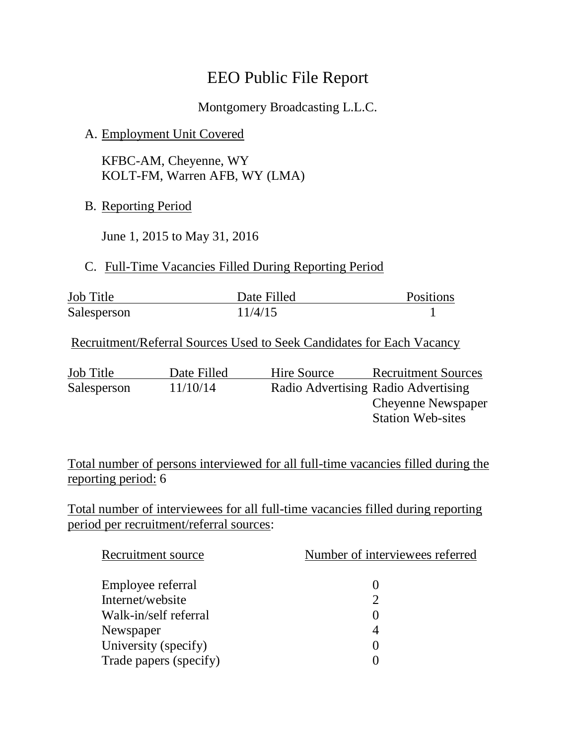# EEO Public File Report

Montgomery Broadcasting L.L.C.

### A. Employment Unit Covered

KFBC-AM, Cheyenne, WY KOLT-FM, Warren AFB, WY (LMA)

B. Reporting Period

June 1, 2015 to May 31, 2016

#### C. Full-Time Vacancies Filled During Reporting Period

| <b>Job Title</b> | Date Filled | Positions |
|------------------|-------------|-----------|
| Salesperson      | 11/4/15     |           |

Recruitment/Referral Sources Used to Seek Candidates for Each Vacancy

Job Title Date Filled Hire Source Recruitment Sources Salesperson 11/10/14 Radio Advertising Radio Advertising Cheyenne Newspaper Station Web-sites

Total number of persons interviewed for all full-time vacancies filled during the reporting period: 6

Total number of interviewees for all full-time vacancies filled during reporting period per recruitment/referral sources:

| Recruitment source     | Number of interviewees referred |  |
|------------------------|---------------------------------|--|
| Employee referral      |                                 |  |
| Internet/website       | っ                               |  |
| Walk-in/self referral  |                                 |  |
| Newspaper              |                                 |  |
| University (specify)   |                                 |  |
| Trade papers (specify) |                                 |  |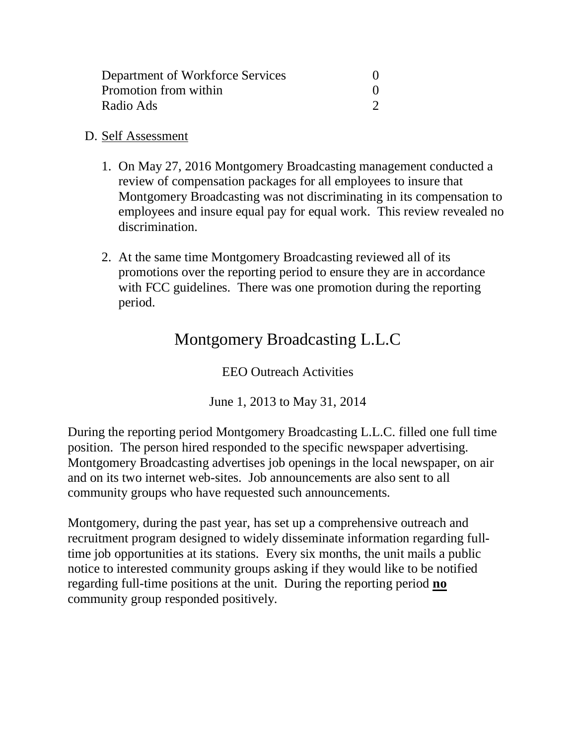| Department of Workforce Services |  |
|----------------------------------|--|
| Promotion from within            |  |
| Radio Ads                        |  |

#### D. Self Assessment

- 1. On May 27, 2016 Montgomery Broadcasting management conducted a review of compensation packages for all employees to insure that Montgomery Broadcasting was not discriminating in its compensation to employees and insure equal pay for equal work. This review revealed no discrimination.
- 2. At the same time Montgomery Broadcasting reviewed all of its promotions over the reporting period to ensure they are in accordance with FCC guidelines. There was one promotion during the reporting period.

## Montgomery Broadcasting L.L.C

EEO Outreach Activities

June 1, 2013 to May 31, 2014

During the reporting period Montgomery Broadcasting L.L.C. filled one full time position. The person hired responded to the specific newspaper advertising. Montgomery Broadcasting advertises job openings in the local newspaper, on air and on its two internet web-sites. Job announcements are also sent to all community groups who have requested such announcements.

Montgomery, during the past year, has set up a comprehensive outreach and recruitment program designed to widely disseminate information regarding fulltime job opportunities at its stations. Every six months, the unit mails a public notice to interested community groups asking if they would like to be notified regarding full-time positions at the unit. During the reporting period **no** community group responded positively.